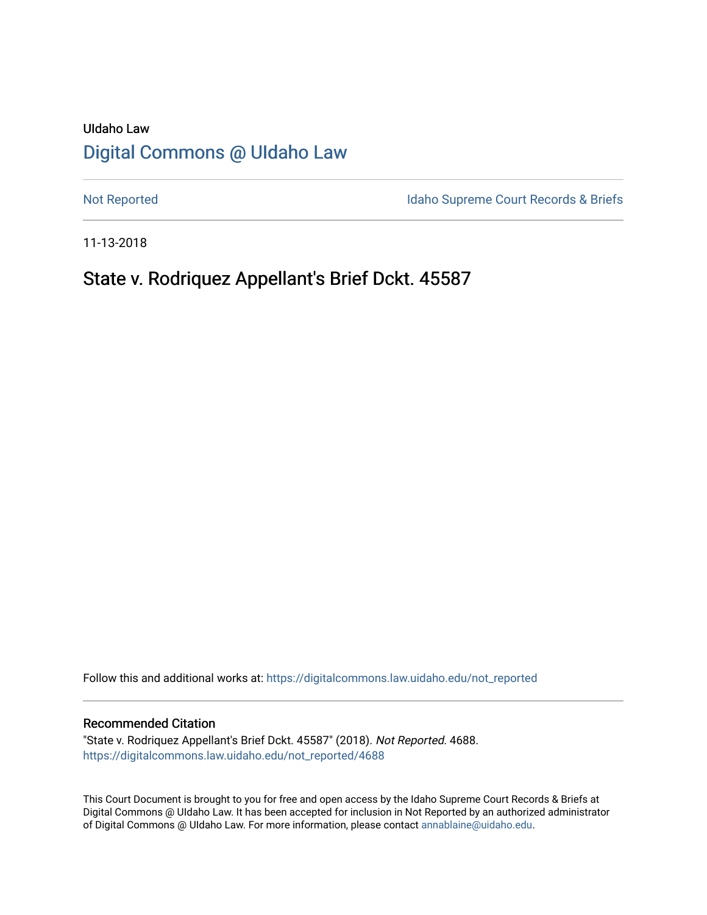# UIdaho Law [Digital Commons @ UIdaho Law](https://digitalcommons.law.uidaho.edu/)

[Not Reported](https://digitalcommons.law.uidaho.edu/not_reported) **Idaho Supreme Court Records & Briefs** 

11-13-2018

# State v. Rodriquez Appellant's Brief Dckt. 45587

Follow this and additional works at: [https://digitalcommons.law.uidaho.edu/not\\_reported](https://digitalcommons.law.uidaho.edu/not_reported?utm_source=digitalcommons.law.uidaho.edu%2Fnot_reported%2F4688&utm_medium=PDF&utm_campaign=PDFCoverPages) 

#### Recommended Citation

"State v. Rodriquez Appellant's Brief Dckt. 45587" (2018). Not Reported. 4688. [https://digitalcommons.law.uidaho.edu/not\\_reported/4688](https://digitalcommons.law.uidaho.edu/not_reported/4688?utm_source=digitalcommons.law.uidaho.edu%2Fnot_reported%2F4688&utm_medium=PDF&utm_campaign=PDFCoverPages)

This Court Document is brought to you for free and open access by the Idaho Supreme Court Records & Briefs at Digital Commons @ UIdaho Law. It has been accepted for inclusion in Not Reported by an authorized administrator of Digital Commons @ UIdaho Law. For more information, please contact [annablaine@uidaho.edu](mailto:annablaine@uidaho.edu).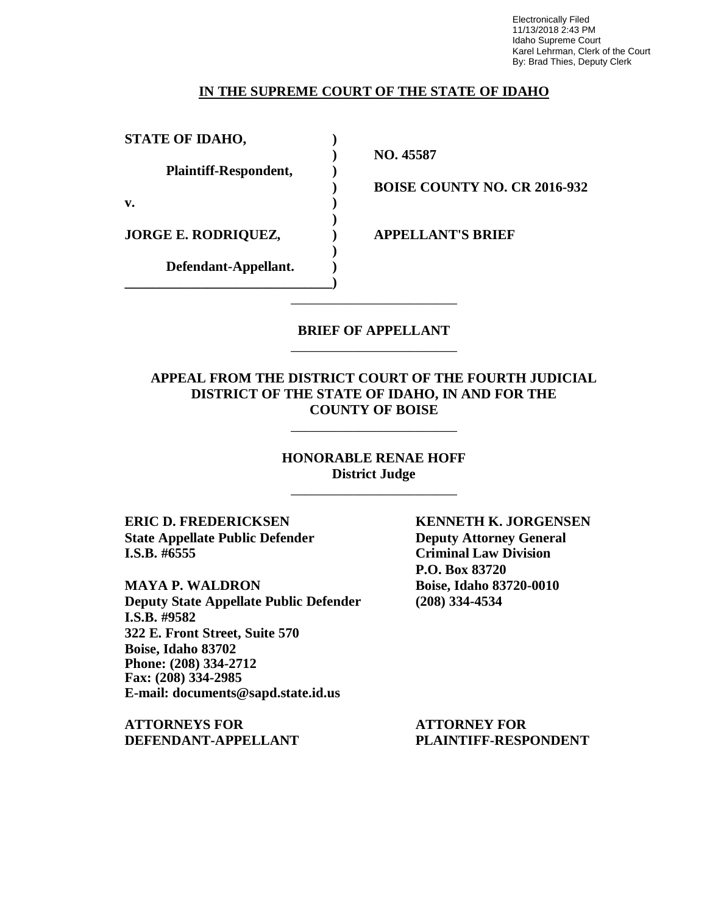Electronically Filed 11/13/2018 2:43 PM Idaho Supreme Court Karel Lehrman, Clerk of the Court By: Brad Thies, Deputy Clerk

### **IN THE SUPREME COURT OF THE STATE OF IDAHO**

| <b>STATE OF IDAHO,</b>       |  |
|------------------------------|--|
| <b>Plaintiff-Respondent,</b> |  |
| v.                           |  |
| <b>JORGE E. RODRIQUEZ,</b>   |  |
| Defendant-Appellant.         |  |

**) NO. 45587**

**) BOISE COUNTY NO. CR 2016-932**

**JORGE E. RODRIQUEZ, ) APPELLANT'S BRIEF**

### **BRIEF OF APPELLANT** \_\_\_\_\_\_\_\_\_\_\_\_\_\_\_\_\_\_\_\_\_\_\_\_

\_\_\_\_\_\_\_\_\_\_\_\_\_\_\_\_\_\_\_\_\_\_\_\_

### **APPEAL FROM THE DISTRICT COURT OF THE FOURTH JUDICIAL DISTRICT OF THE STATE OF IDAHO, IN AND FOR THE COUNTY OF BOISE**

\_\_\_\_\_\_\_\_\_\_\_\_\_\_\_\_\_\_\_\_\_\_\_\_

**HONORABLE RENAE HOFF District Judge**

\_\_\_\_\_\_\_\_\_\_\_\_\_\_\_\_\_\_\_\_\_\_\_\_

**ERIC D. FREDERICKSEN KENNETH K. JORGENSEN State Appellate Public Defender Deputy Attorney General I.S.B. #6555 Criminal Law Division**

**MAYA P. WALDRON Boise, Idaho 83720-0010 Deputy State Appellate Public Defender (208) 334-4534 I.S.B. #9582 322 E. Front Street, Suite 570 Boise, Idaho 83702 Phone: (208) 334-2712 Fax: (208) 334-2985 E-mail: documents@sapd.state.id.us**

**ATTORNEYS FOR ATTORNEY FOR DEFENDANT-APPELLANT PLAINTIFF-RESPONDENT**

**P.O. Box 83720**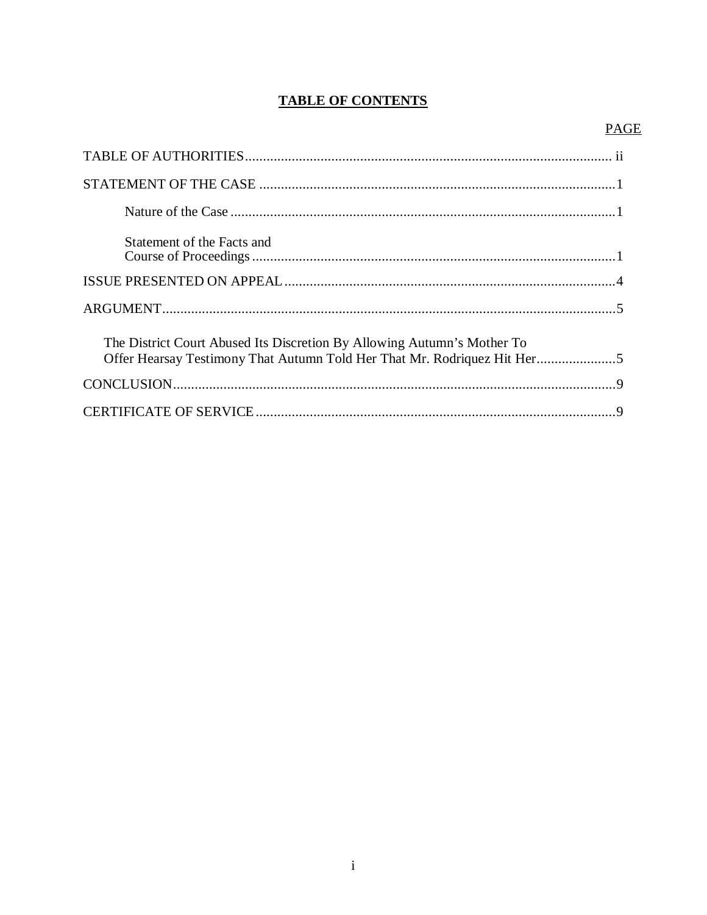## **TABLE OF CONTENTS**

### **PAGE**

| Statement of the Facts and                                                                                                                          |  |
|-----------------------------------------------------------------------------------------------------------------------------------------------------|--|
|                                                                                                                                                     |  |
|                                                                                                                                                     |  |
| The District Court Abused Its Discretion By Allowing Autumn's Mother To<br>Offer Hearsay Testimony That Autumn Told Her That Mr. Rodriquez Hit Her5 |  |
|                                                                                                                                                     |  |
|                                                                                                                                                     |  |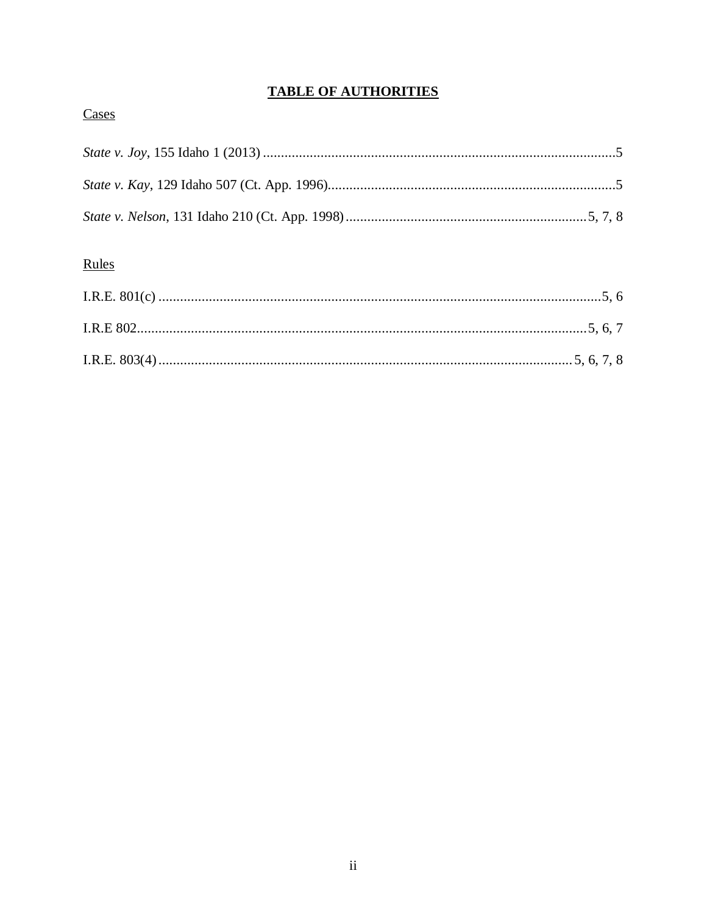# **TABLE OF AUTHORITIES**

## Cases

# Rules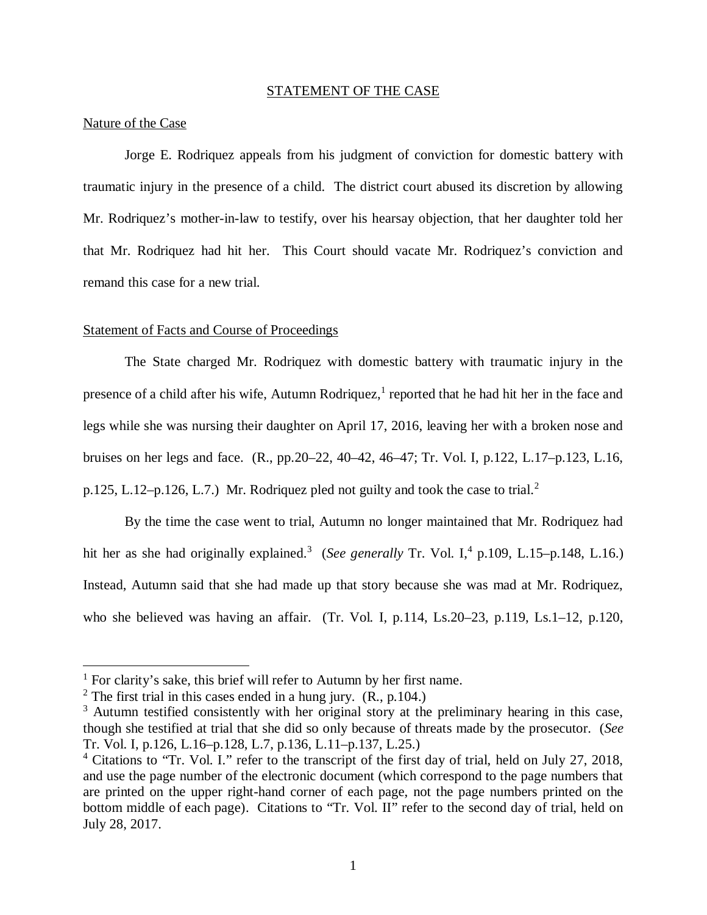#### STATEMENT OF THE CASE

#### Nature of the Case

Jorge E. Rodriquez appeals from his judgment of conviction for domestic battery with traumatic injury in the presence of a child. The district court abused its discretion by allowing Mr. Rodriquez's mother-in-law to testify, over his hearsay objection, that her daughter told her that Mr. Rodriquez had hit her. This Court should vacate Mr. Rodriquez's conviction and remand this case for a new trial.

#### Statement of Facts and Course of Proceedings

The State charged Mr. Rodriquez with domestic battery with traumatic injury in the presence of a child after his wife, Autumn Rodriquez,<sup>[1](#page-4-0)</sup> reported that he had hit her in the face and legs while she was nursing their daughter on April 17, 2016, leaving her with a broken nose and bruises on her legs and face. (R., pp.20–22, 40–42, 46–47; Tr. Vol. I, p.122, L.17–p.123, L.16, p.1[2](#page-4-1)5, L.12–p.126, L.7.) Mr. Rodriquez pled not guilty and took the case to trial.<sup>2</sup>

By the time the case went to trial, Autumn no longer maintained that Mr. Rodriquez had hit her as she had originally explained.<sup>[3](#page-4-2)</sup> (*See generally* Tr. Vol. I,<sup>[4](#page-4-3)</sup> p.109, L.15–p.148, L.16.) Instead, Autumn said that she had made up that story because she was mad at Mr. Rodriquez, who she believed was having an affair. (Tr. Vol. I, p.114, Ls.20–23, p.119, Ls.1–12, p.120,

<span id="page-4-0"></span><sup>&</sup>lt;sup>1</sup> For clarity's sake, this brief will refer to Autumn by her first name.

<span id="page-4-1"></span><sup>&</sup>lt;sup>2</sup> The first trial in this cases ended in a hung jury.  $(R., p.104.)$ 

<span id="page-4-2"></span><sup>&</sup>lt;sup>3</sup> Autumn testified consistently with her original story at the preliminary hearing in this case, though she testified at trial that she did so only because of threats made by the prosecutor. (*See* Tr. Vol. I, p.126, L.16–p.128, L.7, p.136, L.11–p.137, L.25.)

<span id="page-4-3"></span><sup>&</sup>lt;sup>4</sup> Citations to "Tr. Vol. I." refer to the transcript of the first day of trial, held on July 27, 2018, and use the page number of the electronic document (which correspond to the page numbers that are printed on the upper right-hand corner of each page, not the page numbers printed on the bottom middle of each page). Citations to "Tr. Vol. II" refer to the second day of trial, held on July 28, 2017.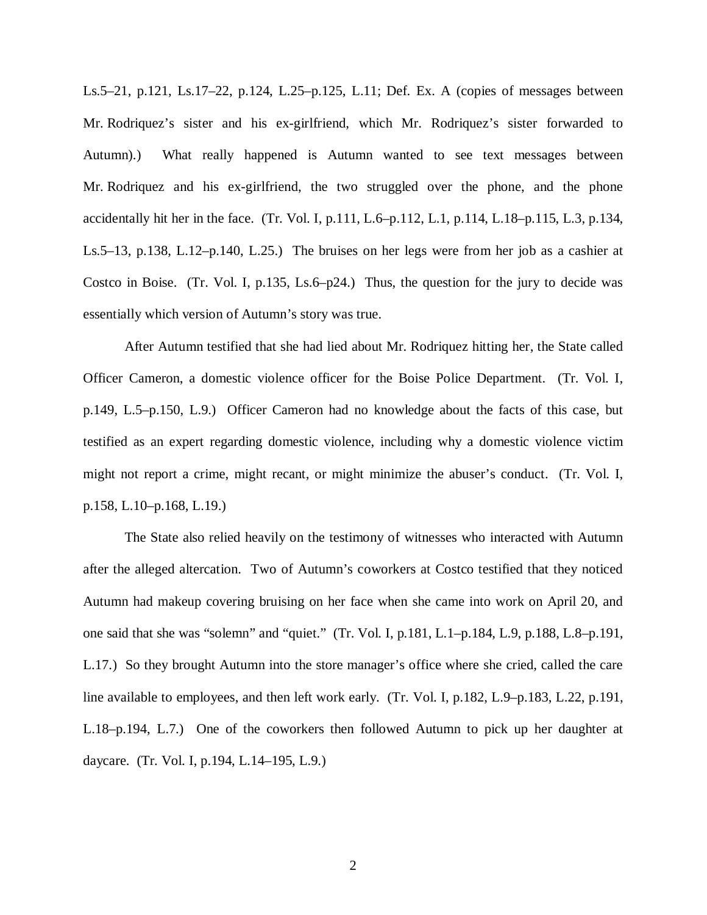Ls.5–21, p.121, Ls.17–22, p.124, L.25–p.125, L.11; Def. Ex. A (copies of messages between Mr. Rodriquez's sister and his ex-girlfriend, which Mr. Rodriquez's sister forwarded to Autumn).) What really happened is Autumn wanted to see text messages between Mr. Rodriquez and his ex-girlfriend, the two struggled over the phone, and the phone accidentally hit her in the face. (Tr. Vol. I, p.111, L.6–p.112, L.1, p.114, L.18–p.115, L.3, p.134, Ls.5–13, p.138, L.12–p.140, L.25.) The bruises on her legs were from her job as a cashier at Costco in Boise. (Tr. Vol. I, p.135, Ls.6–p24.) Thus, the question for the jury to decide was essentially which version of Autumn's story was true.

After Autumn testified that she had lied about Mr. Rodriquez hitting her, the State called Officer Cameron, a domestic violence officer for the Boise Police Department. (Tr. Vol. I, p.149, L.5–p.150, L.9.) Officer Cameron had no knowledge about the facts of this case, but testified as an expert regarding domestic violence, including why a domestic violence victim might not report a crime, might recant, or might minimize the abuser's conduct. (Tr. Vol. I, p.158, L.10–p.168, L.19.)

The State also relied heavily on the testimony of witnesses who interacted with Autumn after the alleged altercation. Two of Autumn's coworkers at Costco testified that they noticed Autumn had makeup covering bruising on her face when she came into work on April 20, and one said that she was "solemn" and "quiet." (Tr. Vol. I, p.181, L.1–p.184, L.9, p.188, L.8–p.191, L.17.) So they brought Autumn into the store manager's office where she cried, called the care line available to employees, and then left work early. (Tr. Vol. I, p.182, L.9–p.183, L.22, p.191, L.18–p.194, L.7.) One of the coworkers then followed Autumn to pick up her daughter at daycare. (Tr. Vol. I, p.194, L.14–195, L.9.)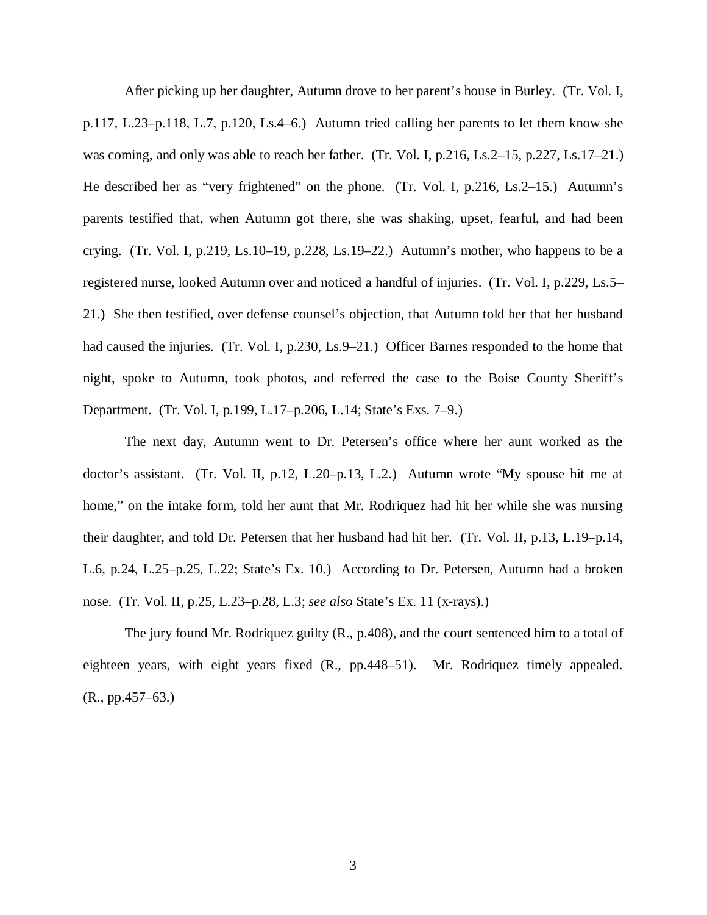After picking up her daughter, Autumn drove to her parent's house in Burley. (Tr. Vol. I, p.117, L.23–p.118, L.7, p.120, Ls.4–6.) Autumn tried calling her parents to let them know she was coming, and only was able to reach her father. (Tr. Vol. I, p.216, Ls.2–15, p.227, Ls.17–21.) He described her as "very frightened" on the phone. (Tr. Vol. I, p.216, Ls.2–15.) Autumn's parents testified that, when Autumn got there, she was shaking, upset, fearful, and had been crying. (Tr. Vol. I, p.219, Ls.10–19, p.228, Ls.19–22.) Autumn's mother, who happens to be a registered nurse, looked Autumn over and noticed a handful of injuries. (Tr. Vol. I, p.229, Ls.5– 21.) She then testified, over defense counsel's objection, that Autumn told her that her husband had caused the injuries. (Tr. Vol. I, p.230, Ls.9–21.) Officer Barnes responded to the home that night, spoke to Autumn, took photos, and referred the case to the Boise County Sheriff's Department. (Tr. Vol. I, p.199, L.17–p.206, L.14; State's Exs. 7–9.)

The next day, Autumn went to Dr. Petersen's office where her aunt worked as the doctor's assistant. (Tr. Vol. II, p.12, L.20–p.13, L.2.) Autumn wrote "My spouse hit me at home," on the intake form, told her aunt that Mr. Rodriquez had hit her while she was nursing their daughter, and told Dr. Petersen that her husband had hit her. (Tr. Vol. II, p.13, L.19–p.14, L.6, p.24, L.25–p.25, L.22; State's Ex. 10.) According to Dr. Petersen, Autumn had a broken nose. (Tr. Vol. II, p.25, L.23–p.28, L.3; *see also* State's Ex. 11 (x-rays).)

The jury found Mr. Rodriquez guilty (R., p.408), and the court sentenced him to a total of eighteen years, with eight years fixed (R., pp.448–51). Mr. Rodriquez timely appealed. (R., pp.457–63.)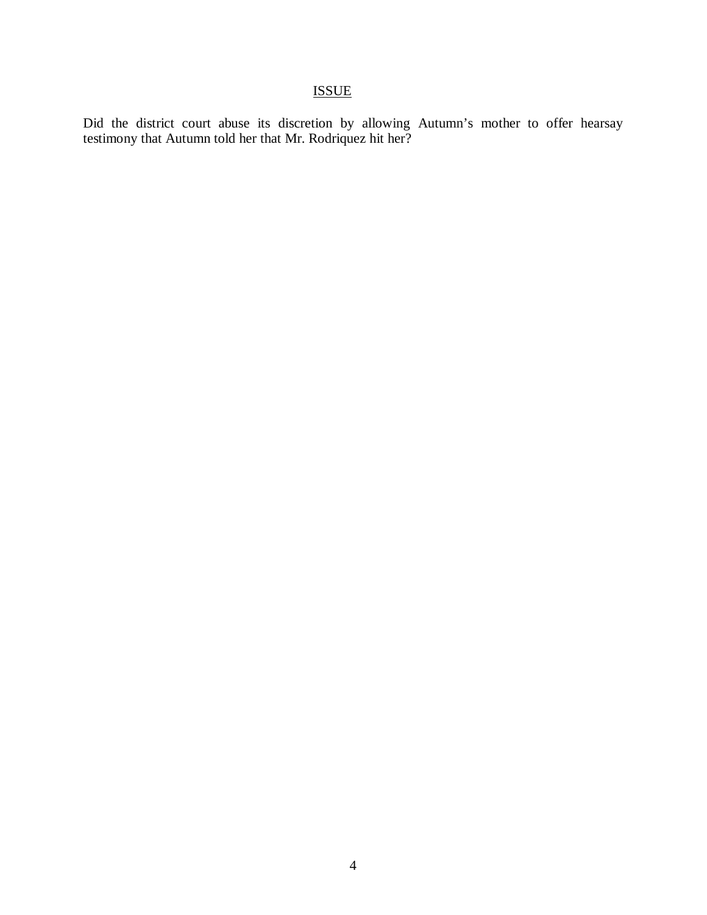## ISSUE

Did the district court abuse its discretion by allowing Autumn's mother to offer hearsay testimony that Autumn told her that Mr. Rodriquez hit her?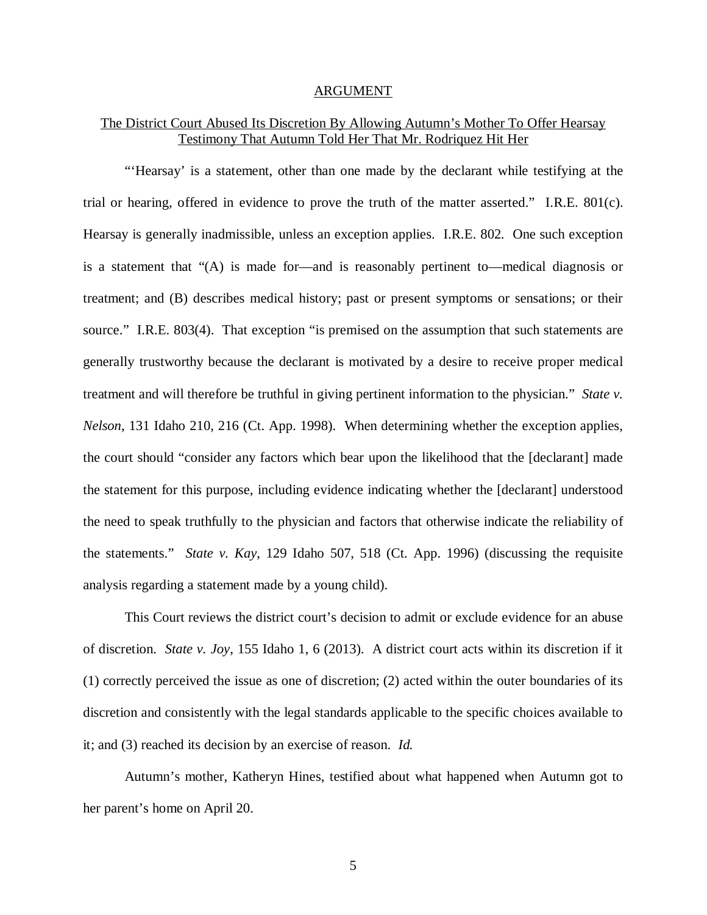#### ARGUMENT

### The District Court Abused Its Discretion By Allowing Autumn's Mother To Offer Hearsay Testimony That Autumn Told Her That Mr. Rodriquez Hit Her

"'Hearsay' is a statement, other than one made by the declarant while testifying at the trial or hearing, offered in evidence to prove the truth of the matter asserted." I.R.E. 801(c). Hearsay is generally inadmissible, unless an exception applies. I.R.E. 802. One such exception is a statement that "(A) is made for—and is reasonably pertinent to—medical diagnosis or treatment; and (B) describes medical history; past or present symptoms or sensations; or their source." I.R.E. 803(4). That exception "is premised on the assumption that such statements are generally trustworthy because the declarant is motivated by a desire to receive proper medical treatment and will therefore be truthful in giving pertinent information to the physician." *State v. Nelson*, 131 Idaho 210, 216 (Ct. App. 1998). When determining whether the exception applies, the court should "consider any factors which bear upon the likelihood that the [declarant] made the statement for this purpose, including evidence indicating whether the [declarant] understood the need to speak truthfully to the physician and factors that otherwise indicate the reliability of the statements." *State v. Kay*, 129 Idaho 507, 518 (Ct. App. 1996) (discussing the requisite analysis regarding a statement made by a young child).

This Court reviews the district court's decision to admit or exclude evidence for an abuse of discretion. *State v. Joy*, 155 Idaho 1, 6 (2013). A district court acts within its discretion if it (1) correctly perceived the issue as one of discretion; (2) acted within the outer boundaries of its discretion and consistently with the legal standards applicable to the specific choices available to it; and (3) reached its decision by an exercise of reason. *Id.*

Autumn's mother, Katheryn Hines, testified about what happened when Autumn got to her parent's home on April 20.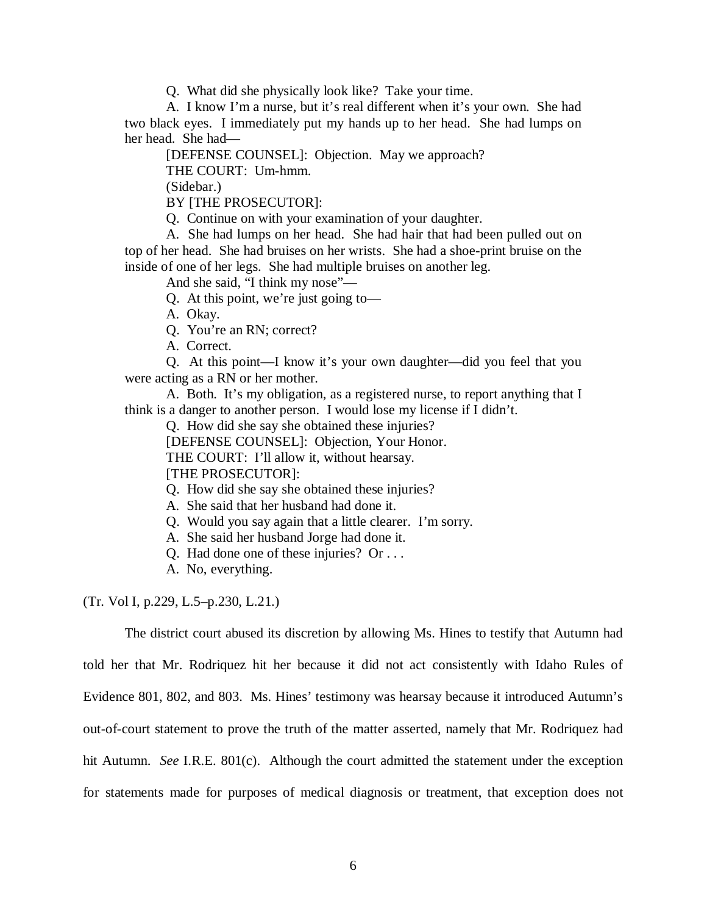Q. What did she physically look like? Take your time.

A. I know I'm a nurse, but it's real different when it's your own. She had two black eyes. I immediately put my hands up to her head. She had lumps on her head. She had—

[DEFENSE COUNSEL]: Objection. May we approach?

THE COURT: Um-hmm.

(Sidebar.)

BY [THE PROSECUTOR]:

Q. Continue on with your examination of your daughter.

A. She had lumps on her head. She had hair that had been pulled out on top of her head. She had bruises on her wrists. She had a shoe-print bruise on the inside of one of her legs. She had multiple bruises on another leg.

And she said, "I think my nose"—

Q. At this point, we're just going to—

A. Okay.

Q. You're an RN; correct?

A. Correct.

Q. At this point—I know it's your own daughter—did you feel that you were acting as a RN or her mother.

A. Both. It's my obligation, as a registered nurse, to report anything that I think is a danger to another person. I would lose my license if I didn't.

Q. How did she say she obtained these injuries?

[DEFENSE COUNSEL]: Objection, Your Honor.

THE COURT: I'll allow it, without hearsay.

[THE PROSECUTOR]:

Q. How did she say she obtained these injuries?

A. She said that her husband had done it.

Q. Would you say again that a little clearer. I'm sorry.

A. She said her husband Jorge had done it.

Q. Had done one of these injuries? Or . . .

A. No, everything.

(Tr. Vol I, p.229, L.5–p.230, L.21.)

The district court abused its discretion by allowing Ms. Hines to testify that Autumn had

told her that Mr. Rodriquez hit her because it did not act consistently with Idaho Rules of Evidence 801, 802, and 803. Ms. Hines' testimony was hearsay because it introduced Autumn's out-of-court statement to prove the truth of the matter asserted, namely that Mr. Rodriquez had hit Autumn. *See* I.R.E. 801(c). Although the court admitted the statement under the exception for statements made for purposes of medical diagnosis or treatment, that exception does not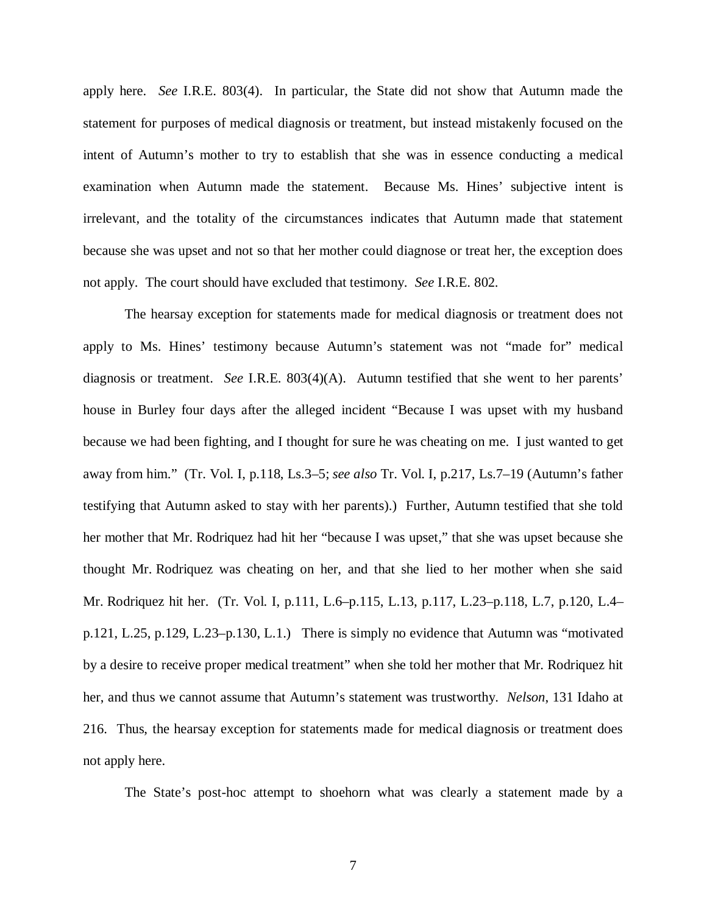apply here. *See* I.R.E. 803(4). In particular, the State did not show that Autumn made the statement for purposes of medical diagnosis or treatment, but instead mistakenly focused on the intent of Autumn's mother to try to establish that she was in essence conducting a medical examination when Autumn made the statement. Because Ms. Hines' subjective intent is irrelevant, and the totality of the circumstances indicates that Autumn made that statement because she was upset and not so that her mother could diagnose or treat her, the exception does not apply. The court should have excluded that testimony. *See* I.R.E. 802.

The hearsay exception for statements made for medical diagnosis or treatment does not apply to Ms. Hines' testimony because Autumn's statement was not "made for" medical diagnosis or treatment. *See* I.R.E. 803(4)(A). Autumn testified that she went to her parents' house in Burley four days after the alleged incident "Because I was upset with my husband because we had been fighting, and I thought for sure he was cheating on me. I just wanted to get away from him." (Tr. Vol. I, p.118, Ls.3–5; *see also* Tr. Vol. I, p.217, Ls.7–19 (Autumn's father testifying that Autumn asked to stay with her parents).) Further, Autumn testified that she told her mother that Mr. Rodriquez had hit her "because I was upset," that she was upset because she thought Mr. Rodriquez was cheating on her, and that she lied to her mother when she said Mr. Rodriquez hit her. (Tr. Vol. I, p.111, L.6–p.115, L.13, p.117, L.23–p.118, L.7, p.120, L.4– p.121, L.25, p.129, L.23–p.130, L.1.) There is simply no evidence that Autumn was "motivated by a desire to receive proper medical treatment" when she told her mother that Mr. Rodriquez hit her, and thus we cannot assume that Autumn's statement was trustworthy. *Nelson*, 131 Idaho at 216. Thus, the hearsay exception for statements made for medical diagnosis or treatment does not apply here.

The State's post-hoc attempt to shoehorn what was clearly a statement made by a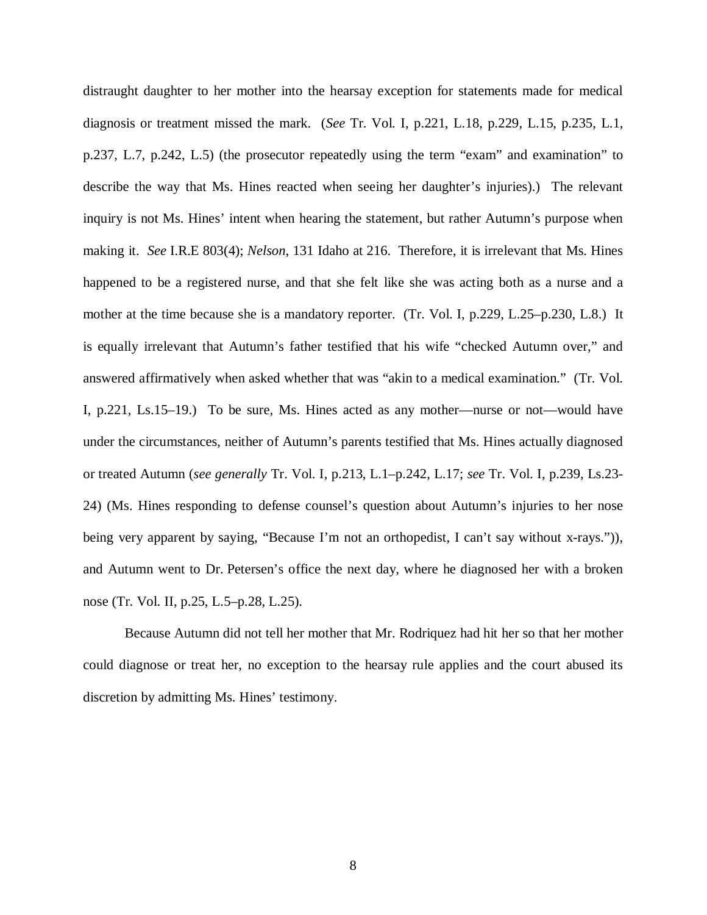distraught daughter to her mother into the hearsay exception for statements made for medical diagnosis or treatment missed the mark. (*See* Tr. Vol. I, p.221, L.18, p.229, L.15, p.235, L.1, p.237, L.7, p.242, L.5) (the prosecutor repeatedly using the term "exam" and examination" to describe the way that Ms. Hines reacted when seeing her daughter's injuries).) The relevant inquiry is not Ms. Hines' intent when hearing the statement, but rather Autumn's purpose when making it. *See* I.R.E 803(4); *Nelson*, 131 Idaho at 216. Therefore, it is irrelevant that Ms. Hines happened to be a registered nurse, and that she felt like she was acting both as a nurse and a mother at the time because she is a mandatory reporter. (Tr. Vol. I, p.229, L.25–p.230, L.8.) It is equally irrelevant that Autumn's father testified that his wife "checked Autumn over," and answered affirmatively when asked whether that was "akin to a medical examination." (Tr. Vol. I, p.221, Ls.15–19.) To be sure, Ms. Hines acted as any mother—nurse or not—would have under the circumstances, neither of Autumn's parents testified that Ms. Hines actually diagnosed or treated Autumn (*see generally* Tr. Vol. I, p.213, L.1–p.242, L.17; *see* Tr. Vol. I, p.239, Ls.23- 24) (Ms. Hines responding to defense counsel's question about Autumn's injuries to her nose being very apparent by saying, "Because I'm not an orthopedist, I can't say without x-rays.")), and Autumn went to Dr. Petersen's office the next day, where he diagnosed her with a broken nose (Tr. Vol. II, p.25, L.5–p.28, L.25).

Because Autumn did not tell her mother that Mr. Rodriquez had hit her so that her mother could diagnose or treat her, no exception to the hearsay rule applies and the court abused its discretion by admitting Ms. Hines' testimony.